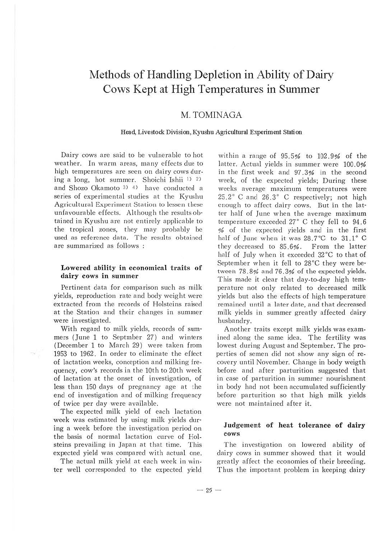# Methods of Handling Depletion in Ability of Dairy Cows Kept at High Temperatures in Summer

## M. TOMINAGA

#### Head, Livestock Division, Kyushu Agricultural Experiment Station

Dairy cows are said to be vulnerable to hot weather. In warm areas, many effects due to high temperatures are seen on dairy cows during a long, hot summer. Shoichi Ishii  $\frac{1}{2}$  2) and Shozo Okamoto 3) 4) have conducted a series of experimental studies at the Kyushu Agricultural Experiment Station to lessen these unfavourable effects. Although the results obtained in Kyushu are not entirely applicable to the tropical zones, they may probably be used as reference data. The results obtained are summarized as follows :

#### **Lowered ability in economical traits of dairy cows in summer**

Pertinent data for comparison such as milk yields, reproduction rate and body weight were extracted from the records of Holsteins raised at the Station and their changes in summer were investigated.

With regard to milk yields, records of sum· mers (June 1 to Septmber 27) and winters (December 1 to March 29) were taken from 1953 to 1962. In order to eliminate the effect of lactation weeks, conception and milking frequency, cow's records in the 10th to 20th week of lactation at the onset of investigation, of less than 150 days of pregnancy age at the end of investigation and of milking frequency of twice per day were available.

The expected milk yield of each lactation week was estimated by using milk yields dur· ing a week before the investigation period on the basis of normal lactation curve of Holsteins prevailing in Japan at that time. This expected yield was compared with actual one.

The actual milk yield at each week in winter well corresponded to the expected yield

within a range of 95.5% to 102.9% of the latter. Actual vields in summer were 100.0% in the first week and 97.3% in the second week, of the ex pected yields; During these weeks average maximum temperatures were  $25.2$  ° C and  $26.3$  ° C respectively; not high enough to affect dairy cows. But in the latter half of June when the average maximum temperature exceeded  $27^\circ$  C they fell to  $94.6$ % of the expected yields and in the first half of June when it was 28.7°C to 31.1°C they decreased to 85.6% . From the latter half of July when it exceeded 32°C to that of September when it fell to 28°C they were betweeh 78.8% and 76 .3% of the expected yields. This made it clear that day-to-day high temperature not only related to decreased milk yields but also the effects of high temperature remained until a later date, and that decreased milk yields in summer greatly a ffected dairy husba ndry.

Another traits except milk yields was examined along the same idea. The fertility was lowest during August and September. The properties of semen did not show any sign of recovery until November. Change in body weigth before and after parturition suggested that in case of parturition in summer nourishment in body had not been accumulated sufficiently before parturition so that high milk yields were not maintained after it.

#### **Judgement of heat tolerance of dairy cows**

The investigation on lowered ability of dairy cows in summer showed that it would greatly affect the economies of their breeding. Thus the important problem in keeping dairy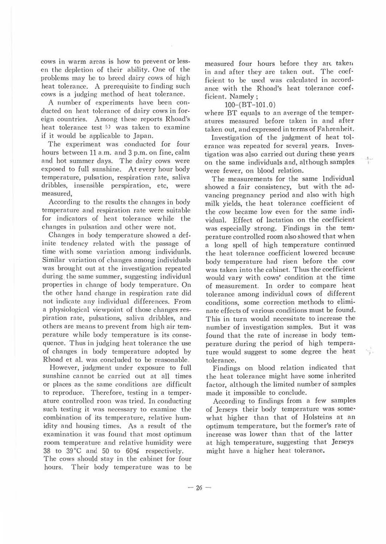cows in warm areas is how to prevent or lessen the depletion of their ability. One of the problems may be to breed dairy cows of high heat tolerance. A prerequisite to finding such cows is a judging method of heat tolerance.

A number of experiments have been conducted on heat tolerance of dairy cows in foreign countries. Among these reports Rhoad's heat tolerance test <sup>5)</sup> was taken to examine if it would be applicable to Japan.

The experiment was conducted for four hours between 11 a.m. and 3 p.m. on fine, calm and hot summer days. The dairy cows were exposed to full sunshine. At every hour body temperature, pulsation, respiration rate, saliva dribbles, insensible perspiration, etc, were measured,

According to the results the changes in body temperature and respiration rnte were suitable for indicators of heat tolerance while the changes in pulsation and other were not.

Changes in body temperature showed a definite tendency related with the passage of time with some variation among individuals. Similar variation of changes among individuals was brought out at the investigation repeated during the same summer, suggesting individual properties in change of body temperature. On the other hand change in respiration rate did not indicate any individual differences. From a physiological viewpoint of those changes respiration rate, pulsations, saliva dribbles, and others are means to prevent from high air temperature while body temperature is its consequence. Thus in judging heat tolerance the use of changes in body temperature adopted by Rhoad et al. was concluded to be reasonable.

However, judgment under exposure to full sunshine cannot be carried out at all times or places as the same conditions are difficult to reproduce. Therefore, testing in a temper. ature controlled roon was tried. In conducting such testing it was necessary to examine the combination of its temperature, relative hum. idity and housing times. As a result of the examination it was found that most optimum room temperature and relative humidity were 38 to 39°C and 50 to 60% respectively.

The cows should stay in the cabinet for four hours. Their body temperature was to be measured four hours before they are taken in and after they are taken out. The coef· ficient to be used was calculated in accordance with the Rhoad's heat tolerance coefficient. Namely ;

### 100-(BT-101. 0)

where BT equals to an average of the temperatures measured before taken in and after taken out, and expressed in terms of Fahrenheit.

Investigation of the judgment of heat tolerance was repeated for several years. Investigation was also carried out during these years on the same individuals and, although samples were fewer, on blood relation.

The measurements for the same Individual showed a fair consistency, but with the advancing pregnancy period and also with high milk yields, the heat tolerance coefficient of the cow became low even for the same individual. Effect of lactation on the coefficient was especially strong. Findings in the tempcrature controlled room also showed that when a long spell of high temperature continued the heat tolerance coefficient lowered because body temperature had risen before the cow was taken into the cabinet. Thus the coefficient would vary with cows' condition at the time of measurement. In order to compare heat tolerance among individual cows of different conditions, some correction methods to eliminate effects of various conditions must be found. This in turn would necessitate to increase the number of investigation samples. But it was found that the rate of increase in body temperature during the period of high temperature would suggest to some degree the heat tolerance.

Findings on blood relation indicated that the heat tolerance might have some inherited fa ctor, although the limited number of samples made it impossible to conclude.

According to findings from a few samples of Jerseys their body temperature was some· what higher than that of Holsteins at an optimum temperature, but the former's rate of increase was lower than that of the latter at high temperature, suggesting that Jerseys might have a higher heat tolerance.